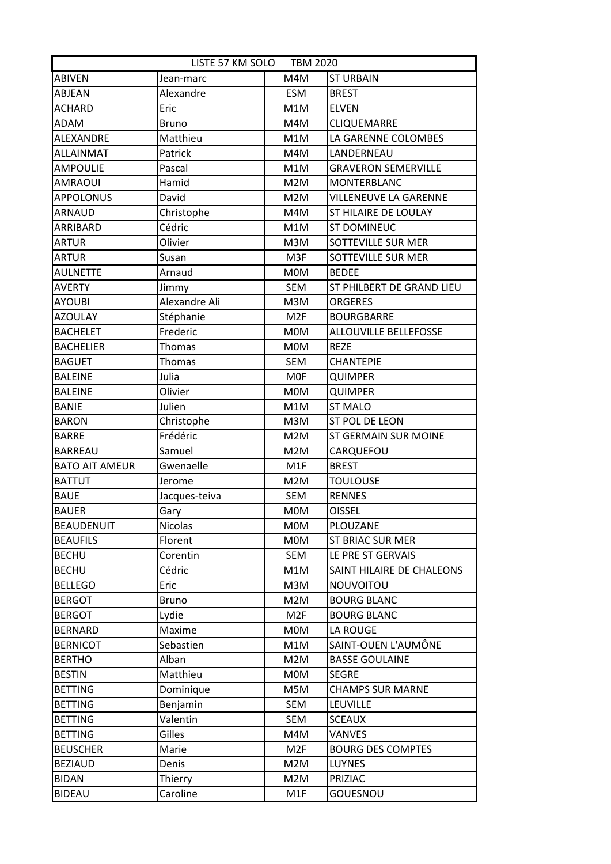| LISTE 57 KM SOLO TBM 2020 |                |                  |                              |  |  |
|---------------------------|----------------|------------------|------------------------------|--|--|
| <b>ABIVEN</b>             | Jean-marc      | M4M              | <b>ST URBAIN</b>             |  |  |
| ABJEAN                    | Alexandre      | <b>ESM</b>       | <b>BREST</b>                 |  |  |
| <b>ACHARD</b>             | Eric           | M1M              | <b>ELVEN</b>                 |  |  |
| ADAM                      | <b>Bruno</b>   | M4M              | <b>CLIQUEMARRE</b>           |  |  |
| ALEXANDRE                 | Matthieu       | M1M              | LA GARENNE COLOMBES          |  |  |
| <b>ALLAINMAT</b>          | Patrick        | M4M              | LANDERNEAU                   |  |  |
| <b>AMPOULIE</b>           | Pascal         | M1M              | <b>GRAVERON SEMERVILLE</b>   |  |  |
| <b>AMRAOUI</b>            | Hamid          | M2M              | <b>MONTERBLANC</b>           |  |  |
| <b>APPOLONUS</b>          | David          | M2M              | VILLENEUVE LA GARENNE        |  |  |
| <b>ARNAUD</b>             | Christophe     | M4M              | ST HILAIRE DE LOULAY         |  |  |
| ARRIBARD                  | Cédric         | M1M              | <b>ST DOMINEUC</b>           |  |  |
| <b>ARTUR</b>              | Olivier        | M3M              | SOTTEVILLE SUR MER           |  |  |
| <b>ARTUR</b>              | Susan          | M3F              | SOTTEVILLE SUR MER           |  |  |
| <b>AULNETTE</b>           | Arnaud         | <b>MOM</b>       | <b>BEDEE</b>                 |  |  |
| <b>AVERTY</b>             | Jimmy          | <b>SEM</b>       | ST PHILBERT DE GRAND LIEU    |  |  |
| <b>AYOUBI</b>             | Alexandre Ali  | M3M              | <b>ORGERES</b>               |  |  |
| <b>AZOULAY</b>            | Stéphanie      | M <sub>2F</sub>  | <b>BOURGBARRE</b>            |  |  |
| <b>BACHELET</b>           | Frederic       | <b>MOM</b>       | <b>ALLOUVILLE BELLEFOSSE</b> |  |  |
| <b>BACHELIER</b>          | Thomas         | <b>MOM</b>       | <b>REZE</b>                  |  |  |
| <b>BAGUET</b>             | Thomas         | SEM              | <b>CHANTEPIE</b>             |  |  |
| <b>BALEINE</b>            | Julia          | <b>MOF</b>       | <b>QUIMPER</b>               |  |  |
| <b>BALEINE</b>            | Olivier        | <b>MOM</b>       | <b>QUIMPER</b>               |  |  |
| <b>BANIE</b>              | Julien         | M1M              | <b>ST MALO</b>               |  |  |
| <b>BARON</b>              | Christophe     | M3M              | ST POL DE LEON               |  |  |
| <b>BARRE</b>              | Frédéric       | M2M              | ST GERMAIN SUR MOINE         |  |  |
| <b>BARREAU</b>            | Samuel         | M2M              | CARQUEFOU                    |  |  |
| <b>BATO AIT AMEUR</b>     | Gwenaelle      | M <sub>1</sub> F | <b>BREST</b>                 |  |  |
| <b>BATTUT</b>             | Jerome         | M2M              | <b>TOULOUSE</b>              |  |  |
| <b>BAUE</b>               | Jacques-teiva  | <b>SEM</b>       | <b>RENNES</b>                |  |  |
| <b>BAUER</b>              | Gary           | <b>MOM</b>       | <b>OISSEL</b>                |  |  |
| <b>BEAUDENUIT</b>         | <b>Nicolas</b> | <b>MOM</b>       | PLOUZANE                     |  |  |
| <b>BEAUFILS</b>           | Florent        | <b>MOM</b>       | <b>ST BRIAC SUR MER</b>      |  |  |
| <b>BECHU</b>              | Corentin       | SEM              | LE PRE ST GERVAIS            |  |  |
| <b>BECHU</b>              | Cédric         | M1M              | SAINT HILAIRE DE CHALEONS    |  |  |
| <b>BELLEGO</b>            | Eric           | M3M              | NOUVOITOU                    |  |  |
| <b>BERGOT</b>             | <b>Bruno</b>   | M2M              | <b>BOURG BLANC</b>           |  |  |
| <b>BERGOT</b>             | Lydie          | M <sub>2F</sub>  | <b>BOURG BLANC</b>           |  |  |
| <b>BERNARD</b>            | Maxime         | <b>MOM</b>       | LA ROUGE                     |  |  |
| <b>BERNICOT</b>           | Sebastien      | M1M              | SAINT-OUEN L'AUMÔNE          |  |  |
| <b>BERTHO</b>             | Alban          | M2M              | <b>BASSE GOULAINE</b>        |  |  |
| <b>BESTIN</b>             | Matthieu       | <b>MOM</b>       | <b>SEGRE</b>                 |  |  |
| <b>BETTING</b>            | Dominique      | M5M              | <b>CHAMPS SUR MARNE</b>      |  |  |
| <b>BETTING</b>            | Benjamin       | SEM              | LEUVILLE                     |  |  |
| <b>BETTING</b>            | Valentin       | SEM              | <b>SCEAUX</b>                |  |  |
| <b>BETTING</b>            | Gilles         | M4M              | <b>VANVES</b>                |  |  |
| <b>BEUSCHER</b>           | Marie          | M <sub>2F</sub>  | <b>BOURG DES COMPTES</b>     |  |  |
| <b>BEZIAUD</b>            | Denis          | M2M              | LUYNES                       |  |  |
| <b>BIDAN</b>              | Thierry        | M2M              | PRIZIAC                      |  |  |
| <b>BIDEAU</b>             | Caroline       | M1F              | GOUESNOU                     |  |  |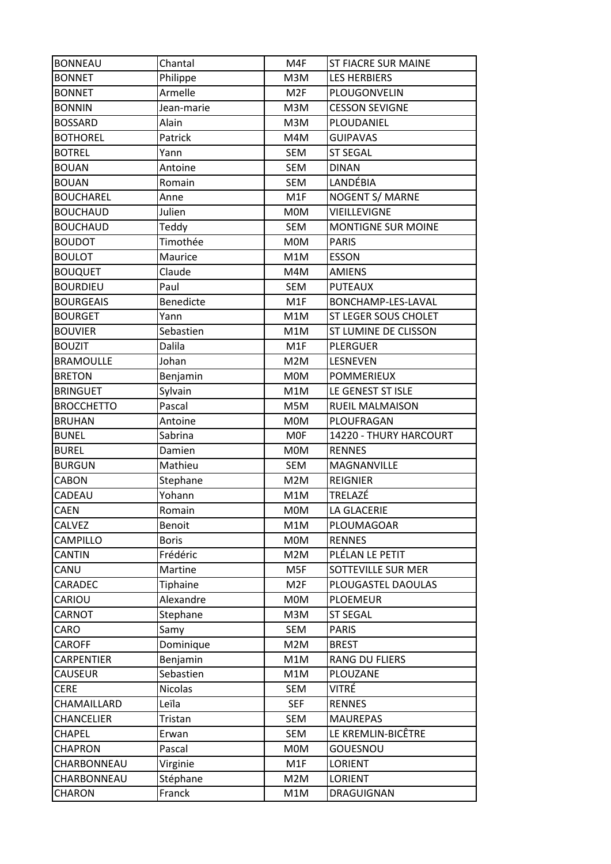| <b>BONNEAU</b>    | Chantal        | M4F             | <b>ST FIACRE SUR MAINE</b> |
|-------------------|----------------|-----------------|----------------------------|
| <b>BONNET</b>     | Philippe       | M3M             | <b>LES HERBIERS</b>        |
| <b>BONNET</b>     | Armelle        | M <sub>2F</sub> | PLOUGONVELIN               |
| <b>BONNIN</b>     | Jean-marie     | M3M             | <b>CESSON SEVIGNE</b>      |
| <b>BOSSARD</b>    | Alain          | M3M             | PLOUDANIEL                 |
| <b>BOTHOREL</b>   | Patrick        | M4M             | <b>GUIPAVAS</b>            |
| <b>BOTREL</b>     | Yann           | SEM             | <b>ST SEGAL</b>            |
| <b>BOUAN</b>      | Antoine        | <b>SEM</b>      | <b>DINAN</b>               |
| <b>BOUAN</b>      | Romain         | <b>SEM</b>      | LANDÉBIA                   |
| <b>BOUCHAREL</b>  | Anne           | M1F             | NOGENT S/ MARNE            |
| <b>BOUCHAUD</b>   | Julien         | <b>MOM</b>      | VIEILLEVIGNE               |
| <b>BOUCHAUD</b>   | Teddy          | SEM             | <b>MONTIGNE SUR MOINE</b>  |
| <b>BOUDOT</b>     | Timothée       | M0M             | <b>PARIS</b>               |
| <b>BOULOT</b>     | Maurice        | M1M             | <b>ESSON</b>               |
| <b>BOUQUET</b>    | Claude         | M4M             | <b>AMIENS</b>              |
| <b>BOURDIEU</b>   | Paul           | <b>SEM</b>      | <b>PUTEAUX</b>             |
| <b>BOURGEAIS</b>  | Benedicte      | M1F             | BONCHAMP-LES-LAVAL         |
| <b>BOURGET</b>    | Yann           | M1M             | ST LEGER SOUS CHOLET       |
| <b>BOUVIER</b>    | Sebastien      | M1M             | ST LUMINE DE CLISSON       |
| <b>BOUZIT</b>     | Dalila         | M1F             | <b>PLERGUER</b>            |
| <b>BRAMOULLE</b>  | Johan          | M2M             | LESNEVEN                   |
| <b>BRETON</b>     | Benjamin       | <b>MOM</b>      | <b>POMMERIEUX</b>          |
| <b>BRINGUET</b>   | Sylvain        | M1M             | LE GENEST ST ISLE          |
| <b>BROCCHETTO</b> | Pascal         | M5M             | <b>RUEIL MALMAISON</b>     |
| <b>BRUHAN</b>     | Antoine        | <b>MOM</b>      | PLOUFRAGAN                 |
|                   |                |                 |                            |
| <b>BUNEL</b>      | Sabrina        | <b>MOF</b>      | 14220 - THURY HARCOURT     |
| <b>BUREL</b>      | Damien         | <b>MOM</b>      | <b>RENNES</b>              |
| <b>BURGUN</b>     | Mathieu        | <b>SEM</b>      | MAGNANVILLE                |
| CABON             | Stephane       | M2M             | <b>REIGNIER</b>            |
| CADEAU            | Yohann         | M1M             | TRELAZÉ                    |
| <b>CAEN</b>       | Romain         | <b>MOM</b>      | LA GLACERIE                |
| CALVEZ            | Benoit         | M1M             | PLOUMAGOAR                 |
| CAMPILLO          | <b>Boris</b>   | M0M             | <b>RENNES</b>              |
| CANTIN            | Frédéric       | M2M             | PLÉLAN LE PETIT            |
| CANU              | Martine        | M5F             | SOTTEVILLE SUR MER         |
| CARADEC           | Tiphaine       | M <sub>2F</sub> | PLOUGASTEL DAOULAS         |
| CARIOU            | Alexandre      | <b>MOM</b>      | <b>PLOEMEUR</b>            |
| CARNOT            | Stephane       | M3M             | <b>ST SEGAL</b>            |
| CARO              | Samy           | SEM             | <b>PARIS</b>               |
| <b>CAROFF</b>     | Dominique      | M2M             | <b>BREST</b>               |
| CARPENTIER        | Benjamin       | M1M             | RANG DU FLIERS             |
| <b>CAUSEUR</b>    | Sebastien      | M1M             | PLOUZANE                   |
| <b>CERE</b>       | <b>Nicolas</b> | SEM             | VITRÉ                      |
| CHAMAILLARD       | Leïla          | <b>SEF</b>      | <b>RENNES</b>              |
| <b>CHANCELIER</b> | Tristan        | SEM             | <b>MAUREPAS</b>            |
| <b>CHAPEL</b>     | Erwan          | SEM             | LE KREMLIN-BICÊTRE         |
| <b>CHAPRON</b>    | Pascal         | M0M             | GOUESNOU                   |
| CHARBONNEAU       | Virginie       | M1F             | <b>LORIENT</b>             |
| CHARBONNEAU       | Stéphane       | M2M             | <b>LORIENT</b>             |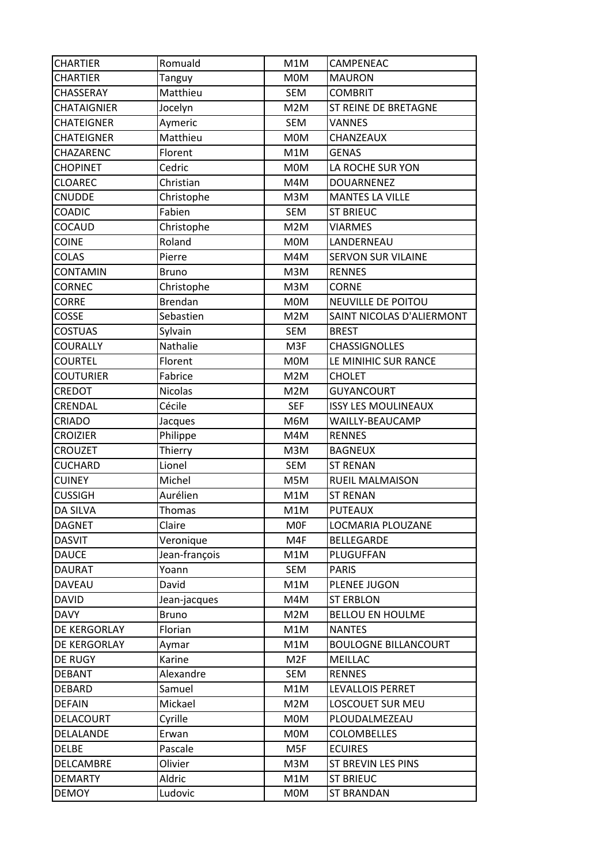| <b>CHARTIER</b>    | Romuald        | M1M             | CAMPENEAC                   |
|--------------------|----------------|-----------------|-----------------------------|
| <b>CHARTIER</b>    | <b>Tanguy</b>  | <b>MOM</b>      | <b>MAURON</b>               |
| CHASSERAY          | Matthieu       | <b>SEM</b>      | <b>COMBRIT</b>              |
| <b>CHATAIGNIER</b> | Jocelyn        | M2M             | ST REINE DE BRETAGNE        |
| <b>CHATEIGNER</b>  | Aymeric        | <b>SEM</b>      | <b>VANNES</b>               |
| <b>CHATEIGNER</b>  | Matthieu       | M0M             | CHANZEAUX                   |
| CHAZARENC          | Florent        | M1M             | <b>GENAS</b>                |
| <b>CHOPINET</b>    | Cedric         | <b>MOM</b>      | LA ROCHE SUR YON            |
| <b>CLOAREC</b>     | Christian      | M4M             | <b>DOUARNENEZ</b>           |
| <b>CNUDDE</b>      | Christophe     | M3M             | <b>MANTES LA VILLE</b>      |
| <b>COADIC</b>      | Fabien         | SEM             | <b>ST BRIEUC</b>            |
| COCAUD             | Christophe     | M2M             | <b>VIARMES</b>              |
| <b>COINE</b>       | Roland         | <b>MOM</b>      | LANDERNEAU                  |
| <b>COLAS</b>       | Pierre         | M4M             | <b>SERVON SUR VILAINE</b>   |
| CONTAMIN           | <b>Bruno</b>   | M3M             | <b>RENNES</b>               |
| <b>CORNEC</b>      | Christophe     | M3M             | <b>CORNE</b>                |
| <b>CORRE</b>       | <b>Brendan</b> | <b>MOM</b>      | <b>NEUVILLE DE POITOU</b>   |
| <b>COSSE</b>       | Sebastien      | M2M             | SAINT NICOLAS D'ALIERMONT   |
| <b>COSTUAS</b>     | Sylvain        | <b>SEM</b>      | <b>BREST</b>                |
| COURALLY           | Nathalie       | M3F             | <b>CHASSIGNOLLES</b>        |
| <b>COURTEL</b>     | Florent        | <b>MOM</b>      | LE MINIHIC SUR RANCE        |
| COUTURIER          | Fabrice        | M2M             | <b>CHOLET</b>               |
| CREDOT             | <b>Nicolas</b> | M2M             | <b>GUYANCOURT</b>           |
| CRENDAL            | Cécile         | <b>SEF</b>      | <b>ISSY LES MOULINEAUX</b>  |
| CRIADO             | Jacques        | M6M             | WAILLY-BEAUCAMP             |
| <b>CROIZIER</b>    | Philippe       | M4M             | <b>RENNES</b>               |
| <b>CROUZET</b>     | Thierry        | M3M             | <b>BAGNEUX</b>              |
| <b>CUCHARD</b>     | Lionel         | <b>SEM</b>      | <b>ST RENAN</b>             |
| <b>CUINEY</b>      | Michel         | M5M             | RUEIL MALMAISON             |
| <b>CUSSIGH</b>     | Aurélien       | M1M             | <b>ST RENAN</b>             |
| <b>DA SILVA</b>    | Thomas         | M1M             | <b>PUTEAUX</b>              |
| <b>DAGNET</b>      | Claire         | <b>MOF</b>      | LOCMARIA PLOUZANE           |
| <b>DASVIT</b>      | Veronique      | M4F             | <b>BELLEGARDE</b>           |
| <b>DAUCE</b>       | Jean-françois  | M1M             | PLUGUFFAN                   |
| <b>DAURAT</b>      | Yoann          | SEM             | <b>PARIS</b>                |
| <b>DAVEAU</b>      | David          | M1M             | PLENEE JUGON                |
| <b>DAVID</b>       | Jean-jacques   | M4M             | <b>ST ERBLON</b>            |
| <b>DAVY</b>        | <b>Bruno</b>   | M2M             | <b>BELLOU EN HOULME</b>     |
| DE KERGORLAY       | Florian        | M1M             | <b>NANTES</b>               |
| DE KERGORLAY       | Aymar          | M1M             | <b>BOULOGNE BILLANCOURT</b> |
| DE RUGY            | Karine         | M <sub>2F</sub> | MEILLAC                     |
| <b>DEBANT</b>      | Alexandre      | SEM             | <b>RENNES</b>               |
| DEBARD             | Samuel         | M1M             | LEVALLOIS PERRET            |
| <b>DEFAIN</b>      | Mickael        | M2M             | LOSCOUET SUR MEU            |
| DELACOURT          | Cyrille        | <b>MOM</b>      | PLOUDALMEZEAU               |
| DELALANDE          | Erwan          | <b>MOM</b>      | <b>COLOMBELLES</b>          |
| <b>DELBE</b>       | Pascale        | M5F             | <b>ECUIRES</b>              |
| DELCAMBRE          | Olivier        | M3M             | ST BREVIN LES PINS          |
| <b>DEMARTY</b>     | Aldric         | M1M             | <b>ST BRIEUC</b>            |
| DEMOY              | Ludovic        | <b>MOM</b>      | <b>ST BRANDAN</b>           |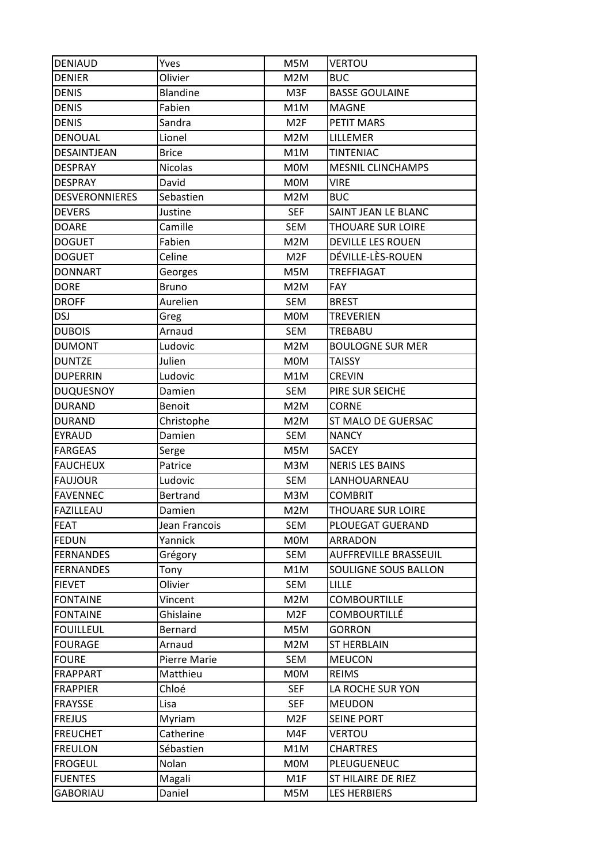| <b>DENIAUD</b>        | Yves           | M5M             | <b>VERTOU</b>                |
|-----------------------|----------------|-----------------|------------------------------|
| <b>DENIER</b>         | Olivier        | M2M             | <b>BUC</b>                   |
| <b>DENIS</b>          | Blandine       | M3F             | <b>BASSE GOULAINE</b>        |
| <b>DENIS</b>          | Fabien         | M1M             | <b>MAGNE</b>                 |
| <b>DENIS</b>          | Sandra         | M <sub>2F</sub> | PETIT MARS                   |
| <b>DENOUAL</b>        | Lionel         | M2M             | LILLEMER                     |
| DESAINTJEAN           | <b>Brice</b>   | M1M             | <b>TINTENIAC</b>             |
| <b>DESPRAY</b>        | <b>Nicolas</b> | <b>MOM</b>      | <b>MESNIL CLINCHAMPS</b>     |
| <b>DESPRAY</b>        | David          | <b>MOM</b>      | <b>VIRE</b>                  |
| <b>DESVERONNIERES</b> | Sebastien      | M2M             | <b>BUC</b>                   |
| <b>DEVERS</b>         | Justine        | <b>SEF</b>      | SAINT JEAN LE BLANC          |
| <b>DOARE</b>          | Camille        | <b>SEM</b>      | THOUARE SUR LOIRE            |
| <b>DOGUET</b>         | Fabien         | M2M             | DEVILLE LES ROUEN            |
| <b>DOGUET</b>         | Celine         | M <sub>2F</sub> | DÉVILLE-LÈS-ROUEN            |
| <b>DONNART</b>        | Georges        | M5M             | <b>TREFFIAGAT</b>            |
| <b>DORE</b>           | <b>Bruno</b>   | M2M             | FAY                          |
| <b>DROFF</b>          | Aurelien       | <b>SEM</b>      | <b>BREST</b>                 |
| <b>DSJ</b>            | Greg           | <b>MOM</b>      | <b>TREVERIEN</b>             |
| <b>DUBOIS</b>         | Arnaud         | <b>SEM</b>      | TREBABU                      |
| <b>DUMONT</b>         | Ludovic        | M2M             | <b>BOULOGNE SUR MER</b>      |
| <b>DUNTZE</b>         | Julien         | <b>MOM</b>      | <b>TAISSY</b>                |
| <b>DUPERRIN</b>       | Ludovic        | M1M             | <b>CREVIN</b>                |
| <b>DUQUESNOY</b>      | Damien         | <b>SEM</b>      | PIRE SUR SEICHE              |
| <b>DURAND</b>         | Benoit         | M2M             | <b>CORNE</b>                 |
| <b>DURAND</b>         | Christophe     | M2M             | ST MALO DE GUERSAC           |
| <b>EYRAUD</b>         | Damien         | SEM             | <b>NANCY</b>                 |
| <b>FARGEAS</b>        | Serge          | M5M             | <b>SACEY</b>                 |
| <b>FAUCHEUX</b>       | Patrice        | M3M             | <b>NERIS LES BAINS</b>       |
| <b>FAUJOUR</b>        | Ludovic        | <b>SEM</b>      | LANHOUARNEAU                 |
| <b>FAVENNEC</b>       | Bertrand       | M3M             | <b>COMBRIT</b>               |
| FAZILLEAU             | Damien         | M2M             | THOUARE SUR LOIRE            |
| <b>FEAT</b>           | Jean Francois  | SEM             | PLOUEGAT GUERAND             |
| <b>FEDUN</b>          | Yannick        | M0M             | ARRADON                      |
| <b>FERNANDES</b>      | Grégory        | SEM             | <b>AUFFREVILLE BRASSEUIL</b> |
| <b>FERNANDES</b>      | Tony           | M1M             | SOULIGNE SOUS BALLON         |
| <b>FIEVET</b>         | Olivier        | SEM             | <b>LILLE</b>                 |
| <b>FONTAINE</b>       | Vincent        | M2M             | <b>COMBOURTILLE</b>          |
| <b>FONTAINE</b>       | Ghislaine      | M <sub>2F</sub> | <b>COMBOURTILLÉ</b>          |
| <b>FOUILLEUL</b>      | Bernard        | M5M             | <b>GORRON</b>                |
| <b>FOURAGE</b>        | Arnaud         | M2M             | <b>ST HERBLAIN</b>           |
| <b>FOURE</b>          | Pierre Marie   | SEM             | <b>MEUCON</b>                |
| <b>FRAPPART</b>       | Matthieu       | <b>MOM</b>      | <b>REIMS</b>                 |
| <b>FRAPPIER</b>       | Chloé          | <b>SEF</b>      | LA ROCHE SUR YON             |
| <b>FRAYSSE</b>        | Lisa           | <b>SEF</b>      | <b>MEUDON</b>                |
| <b>FREJUS</b>         | Myriam         | M <sub>2F</sub> | <b>SEINE PORT</b>            |
| <b>FREUCHET</b>       | Catherine      | M4F             | <b>VERTOU</b>                |
| <b>FREULON</b>        | Sébastien      | M1M             | <b>CHARTRES</b>              |
| <b>FROGEUL</b>        | Nolan          | <b>MOM</b>      | PLEUGUENEUC                  |
| <b>FUENTES</b>        | Magali         | M1F             | ST HILAIRE DE RIEZ           |
| <b>GABORIAU</b>       | Daniel         | M5M             | <b>LES HERBIERS</b>          |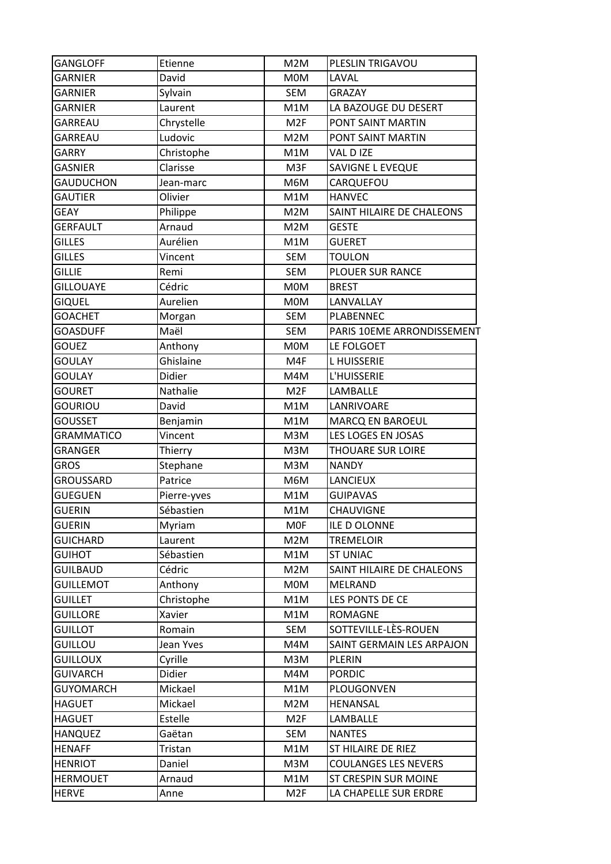| <b>GANGLOFF</b>   | Etienne     | M2M             | PLESLIN TRIGAVOU            |
|-------------------|-------------|-----------------|-----------------------------|
| <b>GARNIER</b>    | David       | <b>MOM</b>      | LAVAL                       |
| <b>GARNIER</b>    | Sylvain     | SEM             | <b>GRAZAY</b>               |
| <b>GARNIER</b>    | Laurent     | M1M             | LA BAZOUGE DU DESERT        |
| GARREAU           | Chrystelle  | M <sub>2F</sub> | PONT SAINT MARTIN           |
| GARREAU           | Ludovic     | M2M             | PONT SAINT MARTIN           |
| <b>GARRY</b>      | Christophe  | M1M             | VAL D IZE                   |
| <b>GASNIER</b>    | Clarisse    | M3F             | SAVIGNE L EVEQUE            |
| <b>GAUDUCHON</b>  | Jean-marc   | M6M             | CARQUEFOU                   |
| <b>GAUTIER</b>    | Olivier     | M1M             | <b>HANVEC</b>               |
| <b>GEAY</b>       | Philippe    | M2M             | SAINT HILAIRE DE CHALEONS   |
| <b>GERFAULT</b>   | Arnaud      | M2M             | <b>GESTE</b>                |
| <b>GILLES</b>     | Aurélien    | M1M             | <b>GUERET</b>               |
| <b>GILLES</b>     | Vincent     | <b>SEM</b>      | <b>TOULON</b>               |
| <b>GILLIE</b>     | Remi        | <b>SEM</b>      | PLOUER SUR RANCE            |
| <b>GILLOUAYE</b>  | Cédric      | M0M             | <b>BREST</b>                |
| <b>GIQUEL</b>     | Aurelien    | <b>MOM</b>      | LANVALLAY                   |
| <b>GOACHET</b>    | Morgan      | SEM             | PLABENNEC                   |
| <b>GOASDUFF</b>   | Maël        | <b>SEM</b>      | PARIS 10EME ARRONDISSEMENT  |
| <b>GOUEZ</b>      | Anthony     | <b>MOM</b>      | LE FOLGOET                  |
| <b>GOULAY</b>     | Ghislaine   | M4F             | <b>LHUISSERIE</b>           |
| <b>GOULAY</b>     | Didier      | M4M             | L'HUISSERIE                 |
| <b>GOURET</b>     | Nathalie    | M <sub>2F</sub> | LAMBALLE                    |
| <b>GOURIOU</b>    | David       | M1M             | LANRIVOARE                  |
| <b>GOUSSET</b>    | Benjamin    | M1M             | MARCQ EN BAROEUL            |
| <b>GRAMMATICO</b> | Vincent     | M3M             | LES LOGES EN JOSAS          |
| <b>GRANGER</b>    | Thierry     | M3M             | THOUARE SUR LOIRE           |
| <b>GROS</b>       | Stephane    | M3M             | <b>NANDY</b>                |
| <b>GROUSSARD</b>  | Patrice     | M6M             | LANCIEUX                    |
| <b>GUEGUEN</b>    | Pierre-yves | M1M             | <b>GUIPAVAS</b>             |
| <b>GUERIN</b>     | Sébastien   | M1M             | CHAUVIGNE                   |
|                   |             |                 |                             |
| <b>GUERIN</b>     | Myriam      | <b>MOF</b>      | ILE D OLONNE                |
| <b>GUICHARD</b>   | Laurent     | M2M             | <b>TREMELOIR</b>            |
| <b>GUIHOT</b>     | Sébastien   | M1M             | <b>ST UNIAC</b>             |
| <b>GUILBAUD</b>   | Cédric      | M2M             | SAINT HILAIRE DE CHALEONS   |
| <b>GUILLEMOT</b>  | Anthony     | <b>MOM</b>      | MELRAND                     |
| <b>GUILLET</b>    | Christophe  | M1M             | LES PONTS DE CE             |
| <b>GUILLORE</b>   | Xavier      | M1M             | <b>ROMAGNE</b>              |
| <b>GUILLOT</b>    | Romain      | SEM             | SOTTEVILLE-LÈS-ROUEN        |
| <b>GUILLOU</b>    | Jean Yves   | M4M             | SAINT GERMAIN LES ARPAJON   |
| <b>GUILLOUX</b>   | Cyrille     | M3M             | <b>PLERIN</b>               |
| <b>GUIVARCH</b>   | Didier      | M4M             | <b>PORDIC</b>               |
| <b>GUYOMARCH</b>  | Mickael     | M1M             | PLOUGONVEN                  |
| <b>HAGUET</b>     | Mickael     | M2M             | HENANSAL                    |
| <b>HAGUET</b>     | Estelle     | M <sub>2F</sub> | <b>LAMBALLE</b>             |
| <b>HANQUEZ</b>    | Gaëtan      | SEM             | <b>NANTES</b>               |
| <b>HENAFF</b>     | Tristan     | M1M             | ST HILAIRE DE RIEZ          |
| <b>HENRIOT</b>    | Daniel      | M3M             | <b>COULANGES LES NEVERS</b> |
| <b>HERMOUET</b>   | Arnaud      | M1M             | ST CRESPIN SUR MOINE        |
| <b>HERVE</b>      | Anne        | M <sub>2F</sub> | LA CHAPELLE SUR ERDRE       |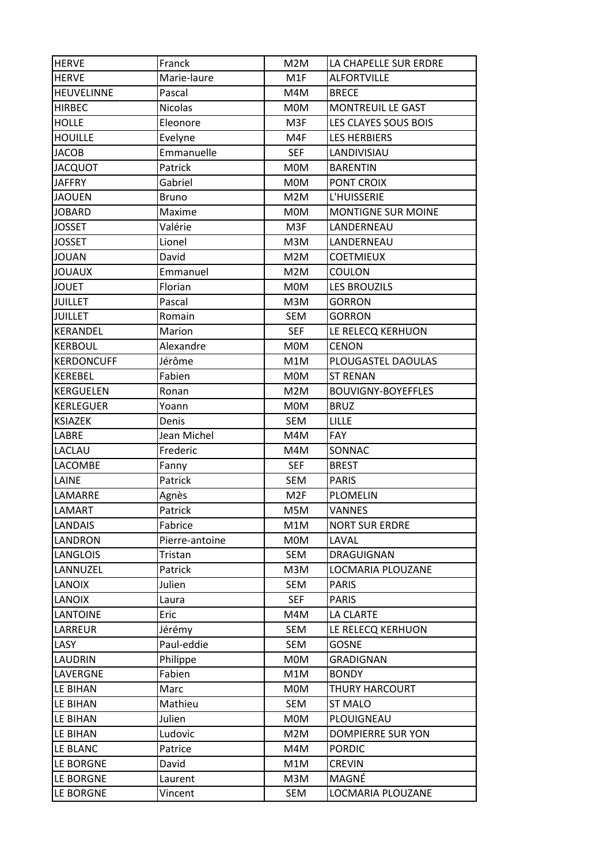| <b>HERVE</b>           | Franck         | M2M             | LA CHAPELLE SUR ERDRE     |
|------------------------|----------------|-----------------|---------------------------|
| <b>HERVE</b>           | Marie-laure    | M1F             | <b>ALFORTVILLE</b>        |
| <b>HEUVELINNE</b>      | Pascal         | M4M             | <b>BRECE</b>              |
| <b>HIRBEC</b>          | <b>Nicolas</b> | <b>MOM</b>      | <b>MONTREUIL LE GAST</b>  |
| <b>HOLLE</b>           | Eleonore       | M3F             | LES CLAYES SOUS BOIS      |
| <b>HOUILLE</b>         | Evelyne        | M4F             | <b>LES HERBIERS</b>       |
| JACOB                  | Emmanuelle     | <b>SEF</b>      | LANDIVISIAU               |
| <b>JACQUOT</b>         | Patrick        | <b>MOM</b>      | <b>BARENTIN</b>           |
| <b>JAFFRY</b>          | Gabriel        | <b>MOM</b>      | PONT CROIX                |
| <b>JAOUEN</b>          | <b>Bruno</b>   | M2M             | L'HUISSERIE               |
| <b>JOBARD</b>          | Maxime         | <b>MOM</b>      | <b>MONTIGNE SUR MOINE</b> |
| JOSSET                 | Valérie        | M3F             | LANDERNEAU                |
| <b>JOSSET</b>          | Lionel         | M3M             | LANDERNEAU                |
| <b>JOUAN</b>           | David          | M2M             | <b>COETMIEUX</b>          |
| <b>JOUAUX</b>          | Emmanuel       | M2M             | <b>COULON</b>             |
| <b>JOUET</b>           | Florian        | <b>MOM</b>      | <b>LES BROUZILS</b>       |
| <b>JUILLET</b>         | Pascal         | M3M             | <b>GORRON</b>             |
| <b>JUILLET</b>         | Romain         | SEM             | <b>GORRON</b>             |
| KERANDEL               | Marion         | <b>SEF</b>      | LE RELECQ KERHUON         |
| <b>KERBOUL</b>         | Alexandre      | <b>MOM</b>      | <b>CENON</b>              |
| <b>KERDONCUFF</b>      | Jérôme         | M1M             | PLOUGASTEL DAOULAS        |
| <b>KEREBEL</b>         | Fabien         | <b>MOM</b>      | <b>ST RENAN</b>           |
| <b>KERGUELEN</b>       | Ronan          | M2M             | <b>BOUVIGNY-BOYEFFLES</b> |
| <b>KERLEGUER</b>       | Yoann          | <b>MOM</b>      | <b>BRUZ</b>               |
| <b>KSIAZEK</b>         | Denis          | SEM             | <b>LILLE</b>              |
| LABRE                  | Jean Michel    | M4M             | <b>FAY</b>                |
| LACLAU                 | Frederic       | M4M             | SONNAC                    |
| LACOMBE                | Fanny          | <b>SEF</b>      | <b>BREST</b>              |
| LAINE                  | Patrick        | <b>SEM</b>      | <b>PARIS</b>              |
| LAMARRE                | Agnès          | M <sub>2F</sub> | <b>PLOMELIN</b>           |
| LAMART                 | Patrick        | M5M             | <b>VANNES</b>             |
| <b>LANDAIS</b>         | Fabrice        | M1M             | <b>NORT SUR ERDRE</b>     |
| LANDRON                | Pierre-antoine | <b>MOM</b>      | LAVAL                     |
| LANGLOIS               | Tristan        | SEM             | DRAGUIGNAN                |
| LANNUZEL               | Patrick        | M3M             | LOCMARIA PLOUZANE         |
| LANOIX                 | Julien         | SEM             | <b>PARIS</b>              |
| LANOIX                 | Laura          | <b>SEF</b>      | <b>PARIS</b>              |
| LANTOINE               | Eric           | M4M             | LA CLARTE                 |
| LARREUR                | Jérémy         | SEM             | LE RELECQ KERHUON         |
| LASY                   | Paul-eddie     | <b>SEM</b>      | <b>GOSNE</b>              |
| LAUDRIN                | Philippe       | <b>MOM</b>      | <b>GRADIGNAN</b>          |
| LAVERGNE               | Fabien         | M1M             | <b>BONDY</b>              |
| LE BIHAN               | Marc           | <b>MOM</b>      | THURY HARCOURT            |
| LE BIHAN               | Mathieu        | SEM             | <b>ST MALO</b>            |
| LE BIHAN               | Julien         | <b>MOM</b>      | PLOUIGNEAU                |
| LE BIHAN               | Ludovic        | M2M             | <b>DOMPIERRE SUR YON</b>  |
| LE BLANC               | Patrice        | M4M             | <b>PORDIC</b>             |
|                        | David          | M1M             | <b>CREVIN</b>             |
|                        |                |                 |                           |
| LE BORGNE<br>LE BORGNE | Laurent        | M3M             | MAGNÉ                     |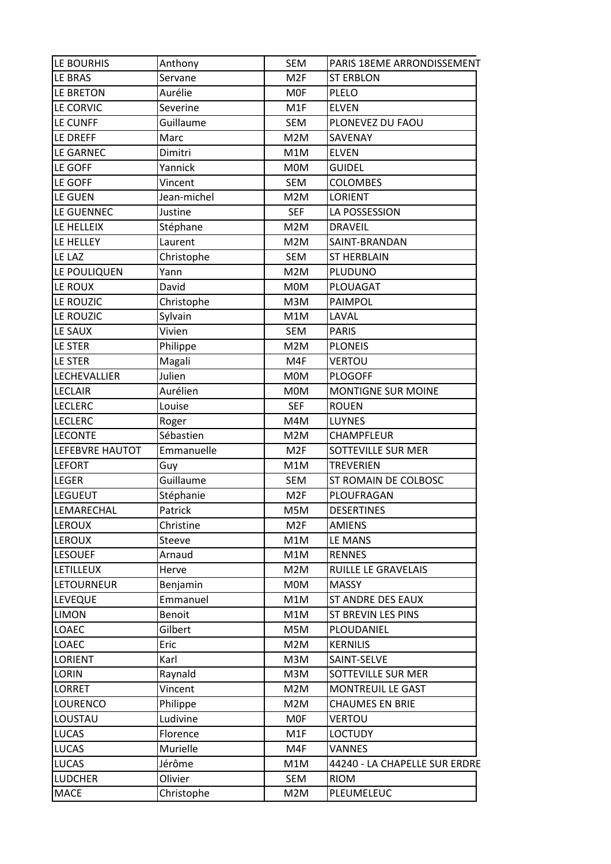| LE BOURHIS                | Anthony              | <b>SEM</b>        | PARIS 18EME ARRONDISSEMENT                  |
|---------------------------|----------------------|-------------------|---------------------------------------------|
| LE BRAS                   | Servane              | M <sub>2F</sub>   | <b>ST ERBLON</b>                            |
| LE BRETON                 | Aurélie              | <b>MOF</b>        | PLELO                                       |
| LE CORVIC                 | Severine             | M1F               | <b>ELVEN</b>                                |
| LE CUNFF                  | Guillaume            | <b>SEM</b>        | PLONEVEZ DU FAOU                            |
| LE DREFF                  | Marc                 | M2M               | SAVENAY                                     |
| LE GARNEC                 | Dimitri              | M1M               | <b>ELVEN</b>                                |
| LE GOFF                   | Yannick              | M0M               | <b>GUIDEL</b>                               |
| LE GOFF                   | Vincent              | <b>SEM</b>        | <b>COLOMBES</b>                             |
| LE GUEN                   | Jean-michel          | M2M               | <b>LORIENT</b>                              |
| LE GUENNEC                | Justine              | <b>SEF</b>        | LA POSSESSION                               |
| LE HELLEIX                | Stéphane             | M2M               | <b>DRAVEIL</b>                              |
| LE HELLEY                 | Laurent              | M2M               | SAINT-BRANDAN                               |
| LE LAZ                    | Christophe           | <b>SEM</b>        | <b>ST HERBLAIN</b>                          |
| LE POULIQUEN              | Yann                 | M2M               | PLUDUNO                                     |
| LE ROUX                   | David                | M0M               | PLOUAGAT                                    |
| LE ROUZIC                 | Christophe           | M3M               | PAIMPOL                                     |
| LE ROUZIC                 | Sylvain              | M1M               | LAVAL                                       |
| LE SAUX                   | Vivien               | <b>SEM</b>        | <b>PARIS</b>                                |
| LE STER                   | Philippe             | M2M               | <b>PLONEIS</b>                              |
| LE STER                   | Magali               | M4F               | <b>VERTOU</b>                               |
| LECHEVALLIER              | Julien               | <b>MOM</b>        | <b>PLOGOFF</b>                              |
| <b>LECLAIR</b>            | Aurélien             | <b>MOM</b>        | <b>MONTIGNE SUR MOINE</b>                   |
| <b>LECLERC</b>            | Louise               | <b>SEF</b>        | <b>ROUEN</b>                                |
| <b>LECLERC</b>            | Roger                | M4M               | LUYNES                                      |
| <b>LECONTE</b>            | Sébastien            | M2M               | CHAMPFLEUR                                  |
| LEFEBVRE HAUTOT           | Emmanuelle           | M <sub>2F</sub>   | SOTTEVILLE SUR MER                          |
| <b>LEFORT</b>             | Guy                  | M1M               | <b>TREVERIEN</b>                            |
| <b>LEGER</b>              | Guillaume            | <b>SEM</b>        | ST ROMAIN DE COLBOSC                        |
| LEGUEUT                   | Stéphanie            | M <sub>2F</sub>   | PLOUFRAGAN                                  |
| LEMARECHAL                | Patrick              | M5M               | <b>DESERTINES</b>                           |
| <b>LEROUX</b>             | Christine            | M <sub>2F</sub>   | <b>AMIENS</b>                               |
| <b>LEROUX</b>             | Steeve               | M1M               | LE MANS                                     |
| <b>LESOUEF</b>            | Arnaud               | M1M               | <b>RENNES</b>                               |
| LETILLEUX                 | Herve                | M2M               | RUILLE LE GRAVELAIS                         |
| LETOURNEUR                | Benjamin             | <b>MOM</b>        | <b>MASSY</b>                                |
| <b>LEVEQUE</b>            | Emmanuel             | M1M               | <b>ST ANDRE DES EAUX</b>                    |
| <b>LIMON</b>              | Benoit               | M1M               | ST BREVIN LES PINS                          |
| <b>LOAEC</b>              | Gilbert              | M5M               | PLOUDANIEL                                  |
| LOAEC                     | Eric                 | M2M               | <b>KERNILIS</b>                             |
| <b>LORIENT</b>            | Karl                 | M3M               | SAINT-SELVE                                 |
| LORIN                     | Raynald              | M3M               | SOTTEVILLE SUR MER                          |
|                           |                      |                   |                                             |
| <b>LORRET</b><br>LOURENCO | Vincent              | M2M               | MONTREUIL LE GAST<br><b>CHAUMES EN BRIE</b> |
| LOUSTAU                   | Philippe<br>Ludivine | M2M<br><b>MOF</b> | <b>VERTOU</b>                               |
|                           |                      |                   |                                             |
| <b>LUCAS</b>              | Florence             | M1F               | <b>LOCTUDY</b>                              |
| <b>LUCAS</b>              | Murielle             | M4F               | <b>VANNES</b>                               |
| <b>LUCAS</b>              | Jérôme               | M1M               | 44240 - LA CHAPELLE SUR ERDRE               |
| <b>LUDCHER</b>            | Olivier              | SEM               | <b>RIOM</b>                                 |
| MACE                      | Christophe           | M2M               | PLEUMELEUC                                  |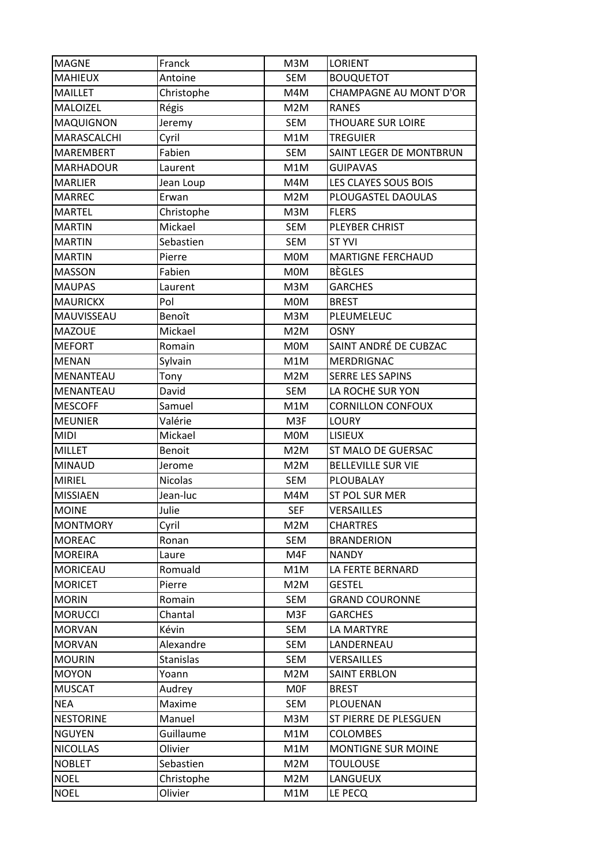| <b>MAGNE</b>     | Franck         | M3M        | <b>LORIENT</b>            |
|------------------|----------------|------------|---------------------------|
| <b>MAHIEUX</b>   | Antoine        | <b>SEM</b> | <b>BOUQUETOT</b>          |
| <b>MAILLET</b>   | Christophe     | M4M        | CHAMPAGNE AU MONT D'OR    |
| MALOIZEL         | Régis          | M2M        | <b>RANES</b>              |
| <b>MAQUIGNON</b> | Jeremy         | <b>SEM</b> | THOUARE SUR LOIRE         |
| MARASCALCHI      | Cyril          | M1M        | <b>TREGUIER</b>           |
| <b>MAREMBERT</b> | Fabien         | <b>SEM</b> | SAINT LEGER DE MONTBRUN   |
| <b>MARHADOUR</b> | Laurent        | M1M        | <b>GUIPAVAS</b>           |
| <b>MARLIER</b>   | Jean Loup      | M4M        | LES CLAYES SOUS BOIS      |
| <b>MARREC</b>    | Erwan          | M2M        | PLOUGASTEL DAOULAS        |
| <b>MARTEL</b>    | Christophe     | M3M        | <b>FLERS</b>              |
| <b>MARTIN</b>    | Mickael        | <b>SEM</b> | PLEYBER CHRIST            |
| <b>MARTIN</b>    | Sebastien      | <b>SEM</b> | <b>ST YVI</b>             |
| <b>MARTIN</b>    | Pierre         | <b>MOM</b> | <b>MARTIGNE FERCHAUD</b>  |
| <b>MASSON</b>    | Fabien         | <b>MOM</b> | <b>BÈGLES</b>             |
| <b>MAUPAS</b>    | Laurent        | M3M        | <b>GARCHES</b>            |
| <b>MAURICKX</b>  | Pol            | M0M        | <b>BREST</b>              |
| MAUVISSEAU       | Benoît         | M3M        | PLEUMELEUC                |
| <b>MAZOUE</b>    | Mickael        | M2M        | <b>OSNY</b>               |
| <b>MEFORT</b>    | Romain         | <b>MOM</b> | SAINT ANDRÉ DE CUBZAC     |
| <b>MENAN</b>     | Sylvain        | M1M        | MERDRIGNAC                |
| MENANTEAU        | Tony           | M2M        | <b>SERRE LES SAPINS</b>   |
| MENANTEAU        | David          | SEM        | LA ROCHE SUR YON          |
| <b>MESCOFF</b>   | Samuel         | M1M        | <b>CORNILLON CONFOUX</b>  |
| <b>MEUNIER</b>   | Valérie        | M3F        | <b>LOURY</b>              |
| <b>MIDI</b>      | Mickael        | <b>MOM</b> | <b>LISIEUX</b>            |
| <b>MILLET</b>    | Benoit         | M2M        | ST MALO DE GUERSAC        |
| <b>MINAUD</b>    | Jerome         | M2M        | <b>BELLEVILLE SUR VIE</b> |
| <b>MIRIEL</b>    | <b>Nicolas</b> | <b>SEM</b> | PLOUBALAY                 |
| <b>MISSIAEN</b>  | Jean-luc       | M4M        | ST POL SUR MER            |
| <b>MOINE</b>     | Julie          | <b>SEF</b> | <b>VERSAILLES</b>         |
| <b>MONTMORY</b>  | Cyril          | M2M        | <b>CHARTRES</b>           |
| <b>MOREAC</b>    | Ronan          | SEM        | <b>BRANDERION</b>         |
| <b>MOREIRA</b>   | Laure          | M4F        | <b>NANDY</b>              |
| MORICEAU         | Romuald        | M1M        | LA FERTE BERNARD          |
| <b>MORICET</b>   | Pierre         | M2M        | <b>GESTEL</b>             |
| <b>MORIN</b>     | Romain         | <b>SEM</b> | <b>GRAND COURONNE</b>     |
| <b>MORUCCI</b>   | Chantal        | M3F        | <b>GARCHES</b>            |
| <b>MORVAN</b>    | Kévin          | <b>SEM</b> | <b>LA MARTYRE</b>         |
| <b>MORVAN</b>    | Alexandre      | SEM        | LANDERNEAU                |
| <b>MOURIN</b>    | Stanislas      | SEM        | VERSAILLES                |
| <b>MOYON</b>     | Yoann          | M2M        | <b>SAINT ERBLON</b>       |
| <b>MUSCAT</b>    | Audrey         | <b>MOF</b> | <b>BREST</b>              |
| <b>NEA</b>       | Maxime         | <b>SEM</b> | PLOUENAN                  |
| <b>NESTORINE</b> | Manuel         | M3M        | ST PIERRE DE PLESGUEN     |
| <b>NGUYEN</b>    | Guillaume      | M1M        | <b>COLOMBES</b>           |
| <b>NICOLLAS</b>  | Olivier        | M1M        | MONTIGNE SUR MOINE        |
| <b>NOBLET</b>    | Sebastien      | M2M        | <b>TOULOUSE</b>           |
| <b>NOEL</b>      | Christophe     | M2M        | LANGUEUX                  |
| <b>NOEL</b>      | Olivier        | M1M        | LE PECQ                   |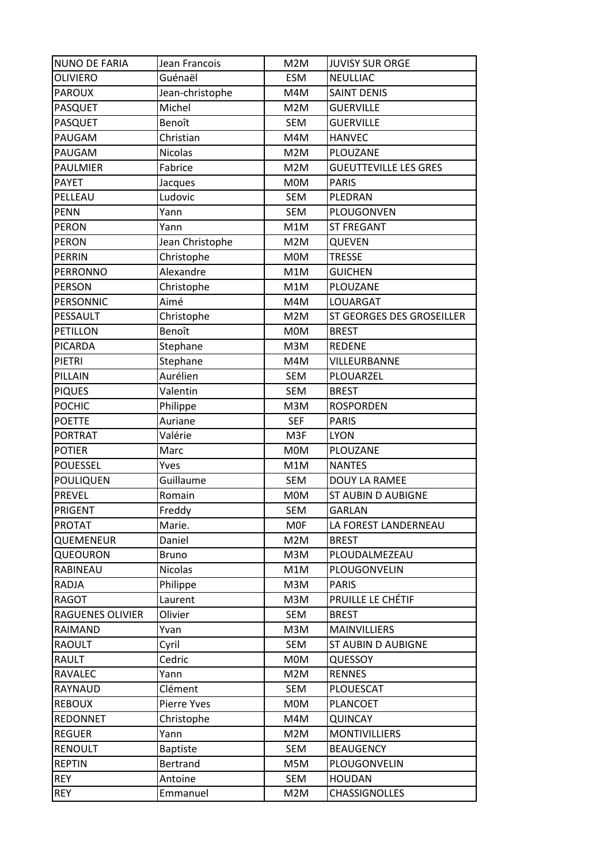| <b>NUNO DE FARIA</b>        | Jean Francois       | M2M        | <b>JUVISY SUR ORGE</b>       |
|-----------------------------|---------------------|------------|------------------------------|
| OLIVIERO                    | Guénaël             | <b>ESM</b> | <b>NEULLIAC</b>              |
| <b>PAROUX</b>               | Jean-christophe     | M4M        | <b>SAINT DENIS</b>           |
| <b>PASQUET</b>              | Michel              | M2M        | <b>GUERVILLE</b>             |
| PASQUET                     | Benoît              | SEM        | <b>GUERVILLE</b>             |
| PAUGAM                      | Christian           | M4M        | <b>HANVEC</b>                |
| PAUGAM                      | <b>Nicolas</b>      | M2M        | PLOUZANE                     |
| <b>PAULMIER</b>             | Fabrice             | M2M        | <b>GUEUTTEVILLE LES GRES</b> |
| <b>PAYET</b>                | Jacques             | <b>MOM</b> | <b>PARIS</b>                 |
| PELLEAU                     | Ludovic             | <b>SEM</b> | PLEDRAN                      |
| <b>PENN</b>                 | Yann                | <b>SEM</b> | PLOUGONVEN                   |
| <b>PERON</b>                | Yann                | M1M        | <b>ST FREGANT</b>            |
| <b>PERON</b>                | Jean Christophe     | M2M        | <b>QUEVEN</b>                |
| <b>PERRIN</b>               | Christophe          | <b>MOM</b> | <b>TRESSE</b>                |
| <b>PERRONNO</b>             | Alexandre           | M1M        | <b>GUICHEN</b>               |
| <b>PERSON</b>               | Christophe          | M1M        | PLOUZANE                     |
| PERSONNIC                   | Aimé                | M4M        | LOUARGAT                     |
| PESSAULT                    | Christophe          | M2M        | ST GEORGES DES GROSEILLER    |
| <b>PETILLON</b>             | Benoît              | <b>MOM</b> | <b>BREST</b>                 |
| <b>PICARDA</b>              | Stephane            | M3M        | <b>REDENE</b>                |
| PIETRI                      | Stephane            | M4M        | VILLEURBANNE                 |
| PILLAIN                     | Aurélien            | <b>SEM</b> | PLOUARZEL                    |
| <b>PIQUES</b>               | Valentin            | <b>SEM</b> | <b>BREST</b>                 |
| <b>POCHIC</b>               | Philippe            | M3M        | <b>ROSPORDEN</b>             |
| <b>POETTE</b>               | Auriane             | <b>SEF</b> | <b>PARIS</b>                 |
| <b>PORTRAT</b>              | Valérie             | M3F        | <b>LYON</b>                  |
| <b>POTIER</b>               | Marc                | <b>MOM</b> | PLOUZANE                     |
| <b>POUESSEL</b>             | Yves                | M1M        | <b>NANTES</b>                |
| <b>POULIQUEN</b>            | Guillaume           | <b>SEM</b> | DOUY LA RAMEE                |
| <b>PREVEL</b>               | Romain              | <b>MOM</b> | <b>ST AUBIN D AUBIGNE</b>    |
| <b>PRIGENT</b>              | Freddy              | <b>SEM</b> | <b>GARLAN</b>                |
| <b>PROTAT</b>               | Marie.              | <b>MOF</b> | LA FOREST LANDERNEAU         |
| QUEMENEUR                   | Daniel              | M2M        | <b>BREST</b>                 |
| QUEOURON                    | <b>Bruno</b>        | M3M        | PLOUDALMEZEAU                |
| RABINEAU                    | <b>Nicolas</b>      | M1M        | PLOUGONVELIN                 |
| RADJA                       | Philippe            | M3M        | <b>PARIS</b>                 |
| RAGOT                       | Laurent             | M3M        | PRUILLE LE CHÉTIF            |
| <b>RAGUENES OLIVIER</b>     | Olivier             | SEM        | <b>BREST</b>                 |
| RAIMAND                     | Yvan                | M3M        | <b>MAINVILLIERS</b>          |
| <b>RAOULT</b>               | Cyril               | SEM        | <b>ST AUBIN D AUBIGNE</b>    |
| RAULT                       | Cedric              | <b>MOM</b> | <b>QUESSOY</b>               |
| RAVALEC                     | Yann                | M2M        | <b>RENNES</b>                |
| RAYNAUD                     | Clément             | SEM        | PLOUESCAT                    |
| <b>REBOUX</b>               | Pierre Yves         | <b>MOM</b> | PLANCOET                     |
| <b>REDONNET</b>             | Christophe          | M4M        | <b>QUINCAY</b>               |
| <b>REGUER</b>               | Yann                | M2M        | <b>MONTIVILLIERS</b>         |
| <b>RENOULT</b>              | <b>Baptiste</b>     | SEM        | <b>BEAUGENCY</b>             |
|                             |                     | M5M        | PLOUGONVELIN                 |
|                             |                     |            |                              |
| <b>REPTIN</b><br><b>REY</b> | Bertrand<br>Antoine | SEM        | <b>HOUDAN</b>                |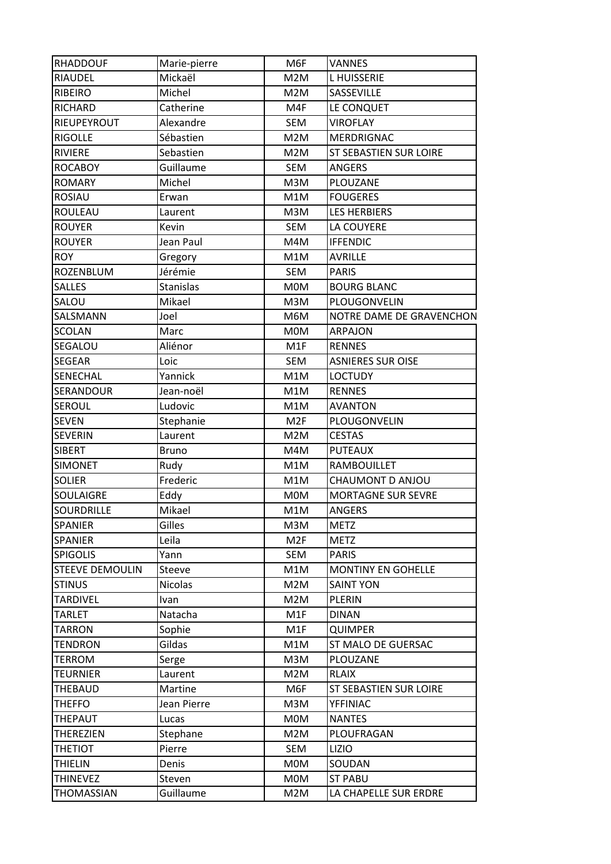| <b>RHADDOUF</b>        | Marie-pierre   | M6F             | <b>VANNES</b>             |
|------------------------|----------------|-----------------|---------------------------|
| RIAUDEL                | Mickaël        | M2M             | <b>LHUISSERIE</b>         |
| RIBEIRO                | Michel         | M2M             | SASSEVILLE                |
| RICHARD                | Catherine      | M4F             | LE CONQUET                |
| <b>RIEUPEYROUT</b>     | Alexandre      | SEM             | <b>VIROFLAY</b>           |
| <b>RIGOLLE</b>         | Sébastien      | M2M             | <b>MERDRIGNAC</b>         |
| <b>RIVIERE</b>         | Sebastien      | M2M             | ST SEBASTIEN SUR LOIRE    |
| <b>ROCABOY</b>         | Guillaume      | SEM             | <b>ANGERS</b>             |
| <b>ROMARY</b>          | Michel         | M3M             | PLOUZANE                  |
| <b>ROSIAU</b>          | Erwan          | M1M             | <b>FOUGERES</b>           |
| <b>ROULEAU</b>         | Laurent        | M3M             | <b>LES HERBIERS</b>       |
| <b>ROUYER</b>          | Kevin          | SEM             | LA COUYERE                |
| <b>ROUYER</b>          | Jean Paul      | M4M             | <b>IFFENDIC</b>           |
| <b>ROY</b>             | Gregory        | M1M             | AVRILLE                   |
| ROZENBLUM              | Jérémie        | SEM             | <b>PARIS</b>              |
| <b>SALLES</b>          | Stanislas      | <b>MOM</b>      | <b>BOURG BLANC</b>        |
| SALOU                  | Mikael         | M3M             | PLOUGONVELIN              |
| SALSMANN               | Joel           | M6M             | NOTRE DAME DE GRAVENCHON  |
| <b>SCOLAN</b>          | Marc           | <b>MOM</b>      | <b>ARPAJON</b>            |
| SEGALOU                | Aliénor        | M1F             | <b>RENNES</b>             |
| <b>SEGEAR</b>          | Loic           | SEM             | <b>ASNIERES SUR OISE</b>  |
| SENECHAL               | Yannick        | M1M             | <b>LOCTUDY</b>            |
| <b>SERANDOUR</b>       | Jean-noël      | M1M             | <b>RENNES</b>             |
| <b>SEROUL</b>          | Ludovic        | M1M             | <b>AVANTON</b>            |
| <b>SEVEN</b>           | Stephanie      | M2F             | PLOUGONVELIN              |
| <b>SEVERIN</b>         | Laurent        | M2M             | <b>CESTAS</b>             |
| <b>SIBERT</b>          | <b>Bruno</b>   | M4M             | <b>PUTEAUX</b>            |
| <b>SIMONET</b>         | Rudy           | M1M             | <b>RAMBOUILLET</b>        |
| <b>SOLIER</b>          | Frederic       | M1M             | CHAUMONT D ANJOU          |
| SOULAIGRE              | Eddy           | <b>MOM</b>      | <b>MORTAGNE SUR SEVRE</b> |
| SOURDRILLE             | Mikael         | M1M             | ANGERS                    |
| SPANIER                | Gilles         | M3M             | <b>METZ</b>               |
| SPANIER                | Leila          | M <sub>2F</sub> | <b>METZ</b>               |
| <b>SPIGOLIS</b>        | Yann           | <b>SEM</b>      | <b>PARIS</b>              |
| <b>STEEVE DEMOULIN</b> | Steeve         | M1M             | <b>MONTINY EN GOHELLE</b> |
| <b>STINUS</b>          | <b>Nicolas</b> | M2M             | <b>SAINT YON</b>          |
| <b>TARDIVEL</b>        | Ivan           | M2M             | <b>PLERIN</b>             |
| <b>TARLET</b>          | Natacha        | M1F             | <b>DINAN</b>              |
| <b>TARRON</b>          | Sophie         | M1F             | <b>QUIMPER</b>            |
| <b>TENDRON</b>         | Gildas         | M1M             | ST MALO DE GUERSAC        |
| <b>TERROM</b>          |                | M3M             | PLOUZANE                  |
| <b>TEURNIER</b>        | Serge          |                 | <b>RLAIX</b>              |
|                        | Laurent        | M2M             |                           |
| THEBAUD                | Martine        | M6F             | ST SEBASTIEN SUR LOIRE    |
| <b>THEFFO</b>          | Jean Pierre    | M3M             | YFFINIAC                  |
| THEPAUT                | Lucas          | <b>MOM</b>      | <b>NANTES</b>             |
| THEREZIEN              | Stephane       | M2M             | PLOUFRAGAN                |
| <b>THETIOT</b>         | Pierre         | SEM             | <b>LIZIO</b>              |
| <b>THIELIN</b>         | Denis          | <b>MOM</b>      | SOUDAN                    |
| <b>THINEVEZ</b>        | Steven         | <b>MOM</b>      | <b>ST PABU</b>            |
| THOMASSIAN             | Guillaume      | M2M             | LA CHAPELLE SUR ERDRE     |